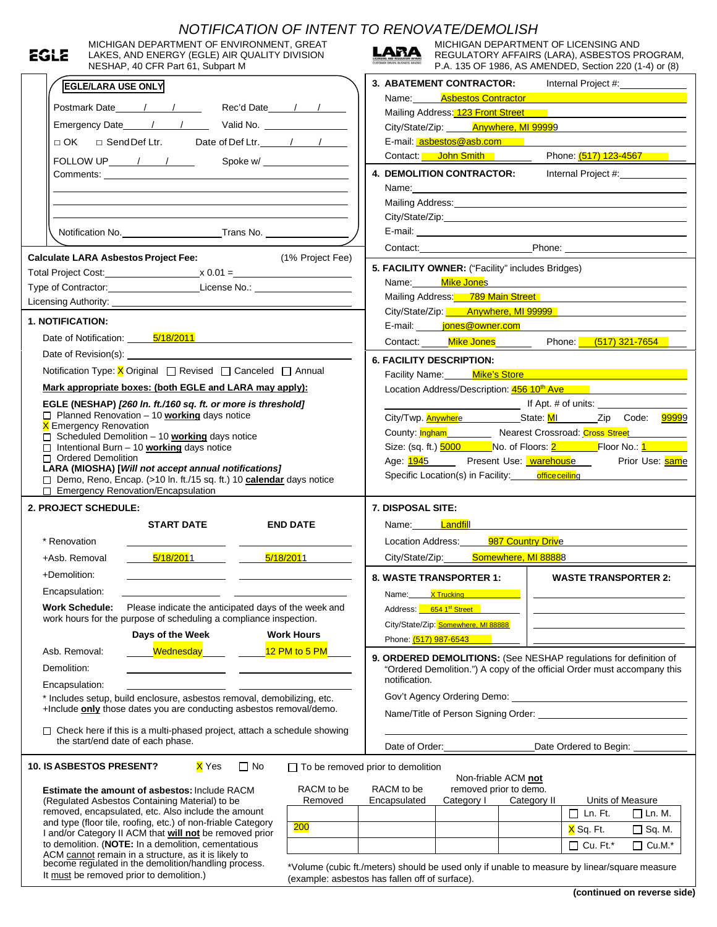|                                                                                                                                                                                                                                | EGLE                            | MICHIGAN DEPARTMENT OF ENVIRONMENT, GREAT<br>LAKES, AND ENERGY (EGLE) AIR QUALITY DIVISION                                                               |           | NOTIFICATION OF INTENT TO RENOVATE/DEMOLISH    | LARA                                                                                       | MICHIGAN DEPARTMENT OF LICENSING AND<br>REGULATORY AFFAIRS (LARA), ASBESTOS PROGRAM,                                                                                                                                          |                     |                                                                            |                          |
|--------------------------------------------------------------------------------------------------------------------------------------------------------------------------------------------------------------------------------|---------------------------------|----------------------------------------------------------------------------------------------------------------------------------------------------------|-----------|------------------------------------------------|--------------------------------------------------------------------------------------------|-------------------------------------------------------------------------------------------------------------------------------------------------------------------------------------------------------------------------------|---------------------|----------------------------------------------------------------------------|--------------------------|
|                                                                                                                                                                                                                                |                                 | NESHAP, 40 CFR Part 61, Subpart M                                                                                                                        |           |                                                |                                                                                            | P.A. 135 OF 1986, AS AMENDED, Section 220 (1-4) or (8)<br>3. ABATEMENT CONTRACTOR: Internal Project #: 1992                                                                                                                   |                     |                                                                            |                          |
|                                                                                                                                                                                                                                | <b>EGLE/LARA USE ONLY</b>       |                                                                                                                                                          |           |                                                |                                                                                            | Name: Asbestos Contractor and Contractor and Contractor and Contractor and Contractor and Contractor and Contr                                                                                                                |                     |                                                                            |                          |
|                                                                                                                                                                                                                                |                                 | Postmark Date 1 1 1 Rec'd Date 1 1                                                                                                                       |           |                                                |                                                                                            | Mailing Address: 123 Front Street Mailing Address: 123 Front Street                                                                                                                                                           |                     |                                                                            |                          |
|                                                                                                                                                                                                                                | Emergency Date 11 1 Valid No.   |                                                                                                                                                          |           |                                                |                                                                                            | City/State/Zip: Anywhere, MI 99999                                                                                                                                                                                            |                     |                                                                            |                          |
|                                                                                                                                                                                                                                |                                 |                                                                                                                                                          |           |                                                |                                                                                            | E-mail: asbestos@asb.com                                                                                                                                                                                                      |                     |                                                                            |                          |
|                                                                                                                                                                                                                                |                                 |                                                                                                                                                          |           |                                                |                                                                                            | Contact: John Smith Prome: (517) 123-4567                                                                                                                                                                                     |                     |                                                                            |                          |
|                                                                                                                                                                                                                                |                                 | FOLLOW UP $\frac{1}{\sqrt{1-\frac{1}{2}}}$                                                                                                               |           | Spoke w/                                       |                                                                                            |                                                                                                                                                                                                                               |                     |                                                                            |                          |
|                                                                                                                                                                                                                                |                                 |                                                                                                                                                          |           |                                                |                                                                                            | 4. DEMOLITION CONTRACTOR:                                                                                                                                                                                                     |                     |                                                                            | Internal Project #: 1999 |
|                                                                                                                                                                                                                                |                                 |                                                                                                                                                          |           |                                                |                                                                                            | Name: Name: Name: Name: Name: Name: Name: Name: Name: Name: Name: Name: Name: Name: Name: Name: Name: Name: Name: Name: Name: Name: Name: Name: Name: Name: Name: Name: Name: Name: Name: Name: Name: Name: Name: Name: Name: |                     |                                                                            |                          |
|                                                                                                                                                                                                                                |                                 |                                                                                                                                                          |           |                                                |                                                                                            | Mailing Address: Mailing Address: Mailing Address: Mailing Address: Mailing Address: Mail 1999                                                                                                                                |                     |                                                                            |                          |
|                                                                                                                                                                                                                                |                                 |                                                                                                                                                          |           |                                                |                                                                                            |                                                                                                                                                                                                                               |                     |                                                                            |                          |
|                                                                                                                                                                                                                                |                                 |                                                                                                                                                          |           |                                                |                                                                                            |                                                                                                                                                                                                                               |                     |                                                                            |                          |
|                                                                                                                                                                                                                                |                                 | <b>Calculate LARA Asbestos Project Fee:</b>                                                                                                              |           | (1% Project Fee)                               |                                                                                            | Contact: Phone: Phone:                                                                                                                                                                                                        |                     |                                                                            |                          |
|                                                                                                                                                                                                                                |                                 |                                                                                                                                                          |           |                                                |                                                                                            | 5. FACILITY OWNER: ("Facility" includes Bridges)                                                                                                                                                                              |                     |                                                                            |                          |
|                                                                                                                                                                                                                                |                                 | Type of Contractor: License No.: License No.:                                                                                                            |           |                                                |                                                                                            | Name: Mike Jones Mike Allen And Allen Allen Allen Allen Allen Allen Allen Allen Allen Allen Allen Allen Allen                                                                                                                 |                     |                                                                            |                          |
|                                                                                                                                                                                                                                |                                 |                                                                                                                                                          |           |                                                |                                                                                            | Mailing Address: 789 Main Street                                                                                                                                                                                              |                     |                                                                            |                          |
|                                                                                                                                                                                                                                |                                 |                                                                                                                                                          |           |                                                |                                                                                            | City/State/Zip: Anywhere, MI 99999                                                                                                                                                                                            |                     |                                                                            |                          |
|                                                                                                                                                                                                                                | 1. NOTIFICATION:                |                                                                                                                                                          |           |                                                |                                                                                            | E-mail: jones@owner.com                                                                                                                                                                                                       |                     |                                                                            |                          |
| Date of Notification: 5/18/2011 Care and Contract Contract Contract Contract Contract Contract Contract Contract Contract Contract Contract Contract Contract Contract Contract Contract Contract Contract Contract Contract C |                                 |                                                                                                                                                          |           |                                                |                                                                                            | Contact: Mike Jones Phone: (517) 321-7654                                                                                                                                                                                     |                     |                                                                            |                          |
|                                                                                                                                                                                                                                |                                 |                                                                                                                                                          |           |                                                |                                                                                            |                                                                                                                                                                                                                               |                     |                                                                            |                          |
|                                                                                                                                                                                                                                |                                 | Notification Type: X Original □ Revised □ Canceled □ Annual                                                                                              |           |                                                |                                                                                            | <b>6. FACILITY DESCRIPTION:</b>                                                                                                                                                                                               |                     |                                                                            |                          |
|                                                                                                                                                                                                                                |                                 | Mark appropriate boxes: (both EGLE and LARA may apply):                                                                                                  |           |                                                |                                                                                            | Facility Name: Mike's Store Mike and Contract and Contract of the Contract of the Contract of the Contract of the Contract of the Contract of the Contract of the Contract of the Contract of the Contract of the Contract of |                     |                                                                            |                          |
|                                                                                                                                                                                                                                |                                 |                                                                                                                                                          |           |                                                |                                                                                            | Location Address/Description: 456 10 <sup>th</sup> Ave                                                                                                                                                                        |                     |                                                                            |                          |
|                                                                                                                                                                                                                                |                                 | EGLE (NESHAP) [260 In. ft./160 sq. ft. or more is threshold]<br>$\Box$ Planned Renovation - 10 <b>working</b> days notice                                |           |                                                |                                                                                            |                                                                                                                                                                                                                               |                     |                                                                            |                          |
|                                                                                                                                                                                                                                | <b>X</b> Emergency Renovation   |                                                                                                                                                          |           |                                                |                                                                                            | City/Twp. <b>Anywhere</b> ______________State: MI____________Zip Code: 99999                                                                                                                                                  |                     |                                                                            |                          |
|                                                                                                                                                                                                                                |                                 | □ Scheduled Demolition - 10 working days notice                                                                                                          |           |                                                |                                                                                            | County: Ingham Nearest Crossroad: Cross Street                                                                                                                                                                                |                     |                                                                            |                          |
| $\Box$ Intentional Burn - 10 <b>working</b> days notice                                                                                                                                                                        |                                 |                                                                                                                                                          |           |                                                | Size: (sq. ft.) <mark>5000 Mo. of Floors: <u>2</u> Floor No.: <u>1</u> Floor No.: 1</mark> |                                                                                                                                                                                                                               |                     |                                                                            |                          |
|                                                                                                                                                                                                                                |                                 |                                                                                                                                                          |           |                                                |                                                                                            |                                                                                                                                                                                                                               |                     |                                                                            |                          |
|                                                                                                                                                                                                                                | □ Ordered Demolition            |                                                                                                                                                          |           |                                                |                                                                                            | Age: <u>1945</u> Present Use: <b>Warehouse</b>                                                                                                                                                                                |                     |                                                                            | Prior Use: same          |
|                                                                                                                                                                                                                                |                                 | LARA (MIOSHA) [Will not accept annual notifications]                                                                                                     |           |                                                |                                                                                            | Specific Location(s) in Facility: office ceiling                                                                                                                                                                              |                     |                                                                            |                          |
|                                                                                                                                                                                                                                |                                 | Demo, Reno, Encap. (>10 In. ft./15 sq. ft.) 10 calendar days notice<br>□ Emergency Renovation/Encapsulation                                              |           |                                                |                                                                                            |                                                                                                                                                                                                                               |                     |                                                                            |                          |
|                                                                                                                                                                                                                                | 2. PROJECT SCHEDULE:            |                                                                                                                                                          |           |                                                | 7. DISPOSAL SITE:                                                                          |                                                                                                                                                                                                                               |                     |                                                                            |                          |
|                                                                                                                                                                                                                                |                                 |                                                                                                                                                          |           |                                                |                                                                                            |                                                                                                                                                                                                                               |                     |                                                                            |                          |
|                                                                                                                                                                                                                                |                                 | <b>START DATE</b>                                                                                                                                        |           | <b>END DATE</b>                                |                                                                                            | Name: <mark>Landfil</mark> l                                                                                                                                                                                                  |                     |                                                                            |                          |
|                                                                                                                                                                                                                                | * Renovation                    |                                                                                                                                                          |           |                                                |                                                                                            | Location Address:                                                                                                                                                                                                             | 987 Country Drive   |                                                                            |                          |
|                                                                                                                                                                                                                                | +Asb. Removal                   | <mark>5/18/201</mark> 1                                                                                                                                  |           | 5/18/2011                                      | City/State/Zip:                                                                            |                                                                                                                                                                                                                               | Somewhere, MI 88888 |                                                                            |                          |
|                                                                                                                                                                                                                                | +Demolition:                    |                                                                                                                                                          |           |                                                |                                                                                            | <b>8. WASTE TRANSPORTER 1:</b>                                                                                                                                                                                                |                     | <b>WASTE TRANSPORTER 2:</b>                                                |                          |
|                                                                                                                                                                                                                                | Encapsulation:                  |                                                                                                                                                          |           |                                                |                                                                                            |                                                                                                                                                                                                                               |                     |                                                                            |                          |
|                                                                                                                                                                                                                                |                                 |                                                                                                                                                          |           |                                                | Name:                                                                                      | <b>X Trucking Album</b>                                                                                                                                                                                                       |                     |                                                                            |                          |
|                                                                                                                                                                                                                                | <b>Work Schedule:</b>           | Please indicate the anticipated days of the week and<br>work hours for the purpose of scheduling a compliance inspection.                                |           |                                                |                                                                                            | Address: 654 1st Street                                                                                                                                                                                                       |                     | the control of the control of the control of the control of the control of |                          |
|                                                                                                                                                                                                                                |                                 |                                                                                                                                                          |           |                                                |                                                                                            | City/State/Zip: Somewhere, MI 88888                                                                                                                                                                                           |                     |                                                                            |                          |
|                                                                                                                                                                                                                                |                                 | Days of the Week                                                                                                                                         |           | <b>Work Hours</b>                              | Phone: (517) 987-6543                                                                      |                                                                                                                                                                                                                               |                     |                                                                            |                          |
|                                                                                                                                                                                                                                | Asb. Removal:                   | Wednesday                                                                                                                                                |           | 12 PM to 5 PM                                  |                                                                                            | 9. ORDERED DEMOLITIONS: (See NESHAP regulations for definition of                                                                                                                                                             |                     |                                                                            |                          |
|                                                                                                                                                                                                                                | Demolition:                     |                                                                                                                                                          |           |                                                |                                                                                            | "Ordered Demolition.") A copy of the official Order must accompany this                                                                                                                                                       |                     |                                                                            |                          |
|                                                                                                                                                                                                                                | Encapsulation:                  |                                                                                                                                                          |           |                                                | notification.                                                                              |                                                                                                                                                                                                                               |                     |                                                                            |                          |
|                                                                                                                                                                                                                                |                                 | * Includes setup, build enclosure, asbestos removal, demobilizing, etc.                                                                                  |           |                                                |                                                                                            |                                                                                                                                                                                                                               |                     |                                                                            |                          |
|                                                                                                                                                                                                                                |                                 | +Include only those dates you are conducting asbestos removal/demo.                                                                                      |           |                                                |                                                                                            |                                                                                                                                                                                                                               |                     |                                                                            |                          |
|                                                                                                                                                                                                                                |                                 | $\Box$ Check here if this is a multi-phased project, attach a schedule showing                                                                           |           |                                                |                                                                                            |                                                                                                                                                                                                                               |                     |                                                                            |                          |
|                                                                                                                                                                                                                                |                                 | the start/end date of each phase.                                                                                                                        |           |                                                |                                                                                            | Date of Order: Note that the state of Order:                                                                                                                                                                                  |                     |                                                                            |                          |
|                                                                                                                                                                                                                                |                                 |                                                                                                                                                          |           |                                                |                                                                                            |                                                                                                                                                                                                                               |                     |                                                                            | Date Ordered to Begin:   |
|                                                                                                                                                                                                                                | <b>10. IS ASBESTOS PRESENT?</b> | X Yes                                                                                                                                                    | $\Box$ No | $\Box$ To be removed prior to demolition       |                                                                                            |                                                                                                                                                                                                                               |                     |                                                                            |                          |
|                                                                                                                                                                                                                                |                                 |                                                                                                                                                          |           | RACM to be                                     | RACM to be                                                                                 | Non-friable ACM not                                                                                                                                                                                                           |                     |                                                                            |                          |
|                                                                                                                                                                                                                                |                                 | Estimate the amount of asbestos: Include RACM                                                                                                            |           | Removed                                        | Encapsulated                                                                               | removed prior to demo.<br>Category I                                                                                                                                                                                          | Category II         |                                                                            | Units of Measure         |
|                                                                                                                                                                                                                                |                                 | (Regulated Asbestos Containing Material) to be<br>removed, encapsulated, etc. Also include the amount                                                    |           |                                                |                                                                                            |                                                                                                                                                                                                                               |                     | $\Box$ Ln. Ft.                                                             | $\Box$ Ln. M.            |
|                                                                                                                                                                                                                                |                                 | and type (floor tile, roofing, etc.) of non-friable Category                                                                                             |           | 200                                            |                                                                                            |                                                                                                                                                                                                                               |                     |                                                                            |                          |
|                                                                                                                                                                                                                                |                                 | I and/or Category II ACM that will not be removed prior                                                                                                  |           |                                                |                                                                                            |                                                                                                                                                                                                                               |                     | X Sq. Ft.                                                                  | $\Box$ Sq. M.            |
|                                                                                                                                                                                                                                |                                 | to demolition. (NOTE: In a demolition, cementatious                                                                                                      |           |                                                |                                                                                            |                                                                                                                                                                                                                               |                     | $\Box$ Cu. Ft.*                                                            | $\Box$ Cu.M.*            |
|                                                                                                                                                                                                                                |                                 | ACM cannot remain in a structure, as it is likely to<br>become regulated in the demolition/handling process.<br>It must be removed prior to demolition.) |           | (example: asbestos has fallen off of surface). |                                                                                            | *Volume (cubic ft./meters) should be used only if unable to measure by linear/square measure                                                                                                                                  |                     |                                                                            |                          |